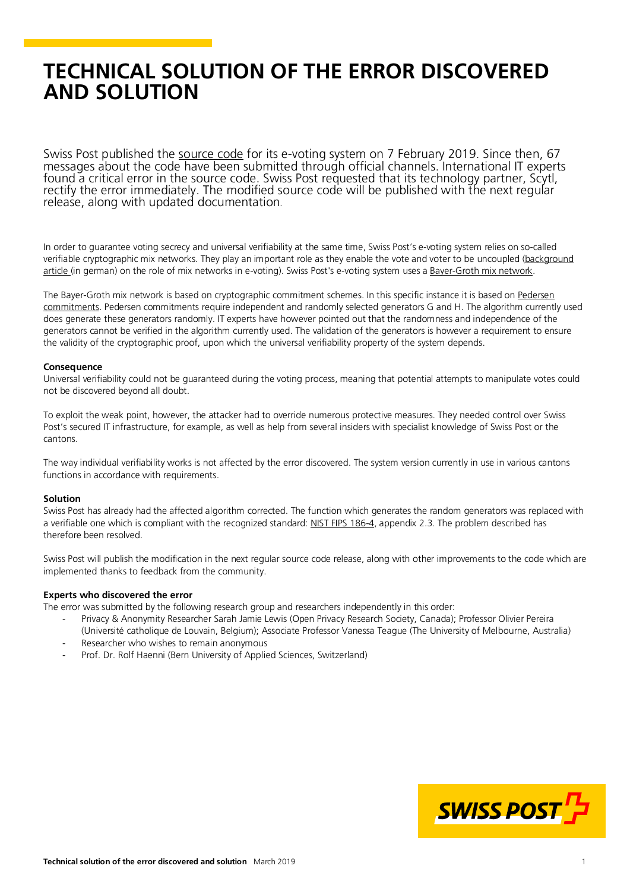# **TECHNICAL SOLUTION OF THE ERROR DISCOVERED AND SOLUTION**

Swiss Post published the <u>source code</u> for its e-voting system on 7 February 2019. Since then, 67 messages about the cod[e have been s](https://www.evoting-blog.ch/en/pages/2019/swiss-post-publishes-the-source-code-for-its-e-voting-system?)ubmitted through official channels. International IT experts found a critical error in th rectify the error immediately. The modified source code will be published with the next regular release, along with updated documentation.

In order to guarantee voting secrecy and universal verifiability at the same time, Swiss Post's e-voting system relies on so-called verifiable cryptographic mix networks. They play an important role as they enable the vote and voter to be uncoupled [\(background](https://www.spirit.bfh.ch/fileadmin/data/2014_2/pdfs/Krypto_Mischen.pdf)  [article](https://www.spirit.bfh.ch/fileadmin/data/2014_2/pdfs/Krypto_Mischen.pdf) (in german) on the role of mix networks in e-voting). Swiss Post's e-voting system uses [a Bayer-Groth mix network.](http://www0.cs.ucl.ac.uk/staff/J.Groth/MinimalShuffle.pdf)

The Bayer-Groth mix network is based on cryptographic commitment schemes. In this specific instance it is based on Pedersen [commitments.](https://link.springer.com/content/pdf/10.1007%2F3-540-46766-1_9.pdf) Pedersen commitments require independent and randomly selected generators G and H. The algorithm currently used does generate these generators randomly. IT experts have however pointed out that the randomness and independence of the generators cannot be verified in the algorithm currently used. The validation of the generators is however a requirement to ensure the validity of the cryptographic proof, upon which the universal verifiability property of the system depends.

#### **Consequence**

Universal verifiability could not be guaranteed during the voting process, meaning that potential attempts to manipulate votes could not be discovered beyond all doubt.

To exploit the weak point, however, the attacker had to override numerous protective measures. They needed control over Swiss Post's secured IT infrastructure, for example, as well as help from several insiders with specialist knowledge of Swiss Post or the cantons.

The way individual verifiability works is not affected by the error discovered. The system version currently in use in various cantons functions in accordance with requirements.

#### **Solution**

Swiss Post has already had the affected algorithm corrected. The function which generates the random generators was replaced with a verifiable one which is compliant with the recognized standard[: NIST FIPS 186-4,](https://nvlpubs.nist.gov/nistpubs/fips/nist.fips.186-4.pdf) appendix 2.3. The problem described has therefore been resolved.

Swiss Post will publish the modification in the next regular source code release, along with other improvements to the code which are implemented thanks to feedback from the community.

### **Experts who discovered the error**

The error was submitted by the following research group and researchers independently in this order:

- Privacy & Anonymity Researcher Sarah Jamie Lewis (Open Privacy Research Society, Canada); Professor Olivier Pereira
- (Université catholique de Louvain, Belgium); Associate Professor Vanessa Teague (The University of Melbourne, Australia) Researcher who wishes to remain anonymous
- Prof. Dr. Rolf Haenni (Bern University of Applied Sciences, Switzerland)